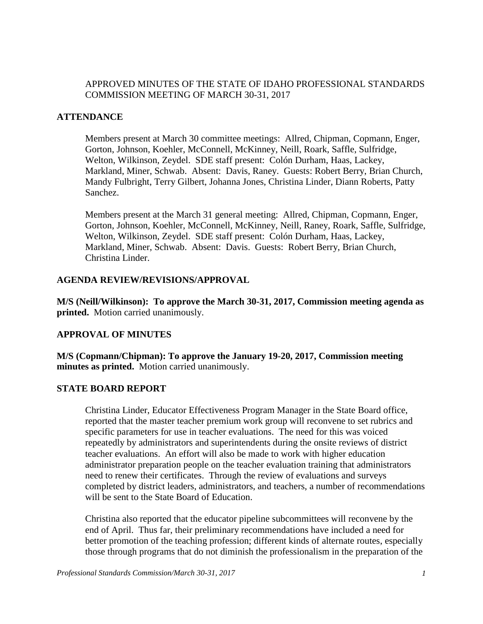## APPROVED MINUTES OF THE STATE OF IDAHO PROFESSIONAL STANDARDS COMMISSION MEETING OF MARCH 30-31, 2017

## **ATTENDANCE**

Members present at March 30 committee meetings: Allred, Chipman, Copmann, Enger, Gorton, Johnson, Koehler, McConnell, McKinney, Neill, Roark, Saffle, Sulfridge, Welton, Wilkinson, Zeydel. SDE staff present: Colón Durham, Haas, Lackey, Markland, Miner, Schwab. Absent: Davis, Raney. Guests: Robert Berry, Brian Church, Mandy Fulbright, Terry Gilbert, Johanna Jones, Christina Linder, Diann Roberts, Patty Sanchez.

Members present at the March 31 general meeting: Allred, Chipman, Copmann, Enger, Gorton, Johnson, Koehler, McConnell, McKinney, Neill, Raney, Roark, Saffle, Sulfridge, Welton, Wilkinson, Zeydel. SDE staff present: Colón Durham, Haas, Lackey, Markland, Miner, Schwab. Absent: Davis. Guests: Robert Berry, Brian Church, Christina Linder.

### **AGENDA REVIEW/REVISIONS/APPROVAL**

**M/S (Neill/Wilkinson): To approve the March 30-31, 2017, Commission meeting agenda as printed.** Motion carried unanimously.

## **APPROVAL OF MINUTES**

**M/S (Copmann/Chipman): To approve the January 19-20, 2017, Commission meeting minutes as printed.** Motion carried unanimously.

### **STATE BOARD REPORT**

Christina Linder, Educator Effectiveness Program Manager in the State Board office, reported that the master teacher premium work group will reconvene to set rubrics and specific parameters for use in teacher evaluations. The need for this was voiced repeatedly by administrators and superintendents during the onsite reviews of district teacher evaluations. An effort will also be made to work with higher education administrator preparation people on the teacher evaluation training that administrators need to renew their certificates. Through the review of evaluations and surveys completed by district leaders, administrators, and teachers, a number of recommendations will be sent to the State Board of Education.

Christina also reported that the educator pipeline subcommittees will reconvene by the end of April. Thus far, their preliminary recommendations have included a need for better promotion of the teaching profession; different kinds of alternate routes, especially those through programs that do not diminish the professionalism in the preparation of the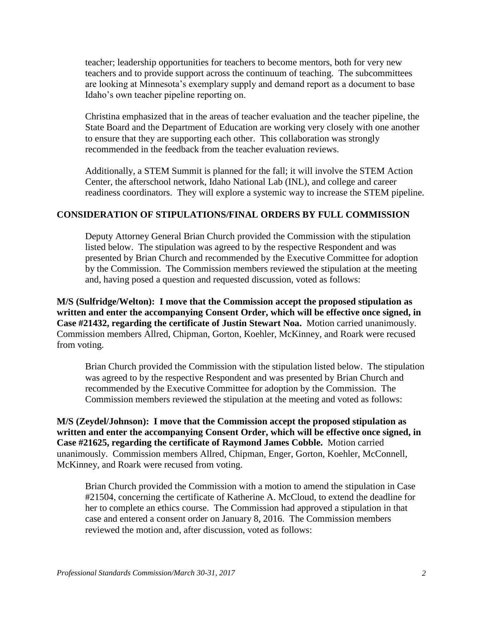teacher; leadership opportunities for teachers to become mentors, both for very new teachers and to provide support across the continuum of teaching. The subcommittees are looking at Minnesota's exemplary supply and demand report as a document to base Idaho's own teacher pipeline reporting on.

Christina emphasized that in the areas of teacher evaluation and the teacher pipeline, the State Board and the Department of Education are working very closely with one another to ensure that they are supporting each other. This collaboration was strongly recommended in the feedback from the teacher evaluation reviews.

Additionally, a STEM Summit is planned for the fall; it will involve the STEM Action Center, the afterschool network, Idaho National Lab (INL), and college and career readiness coordinators. They will explore a systemic way to increase the STEM pipeline.

### **CONSIDERATION OF STIPULATIONS/FINAL ORDERS BY FULL COMMISSION**

Deputy Attorney General Brian Church provided the Commission with the stipulation listed below. The stipulation was agreed to by the respective Respondent and was presented by Brian Church and recommended by the Executive Committee for adoption by the Commission. The Commission members reviewed the stipulation at the meeting and, having posed a question and requested discussion, voted as follows:

**M/S (Sulfridge/Welton): I move that the Commission accept the proposed stipulation as written and enter the accompanying Consent Order, which will be effective once signed, in Case #21432, regarding the certificate of Justin Stewart Noa.** Motion carried unanimously. Commission members Allred, Chipman, Gorton, Koehler, McKinney, and Roark were recused from voting.

Brian Church provided the Commission with the stipulation listed below. The stipulation was agreed to by the respective Respondent and was presented by Brian Church and recommended by the Executive Committee for adoption by the Commission. The Commission members reviewed the stipulation at the meeting and voted as follows:

**M/S (Zeydel/Johnson): I move that the Commission accept the proposed stipulation as written and enter the accompanying Consent Order, which will be effective once signed, in Case #21625, regarding the certificate of Raymond James Cobble.** Motion carried unanimously. Commission members Allred, Chipman, Enger, Gorton, Koehler, McConnell, McKinney, and Roark were recused from voting.

Brian Church provided the Commission with a motion to amend the stipulation in Case #21504, concerning the certificate of Katherine A. McCloud, to extend the deadline for her to complete an ethics course. The Commission had approved a stipulation in that case and entered a consent order on January 8, 2016. The Commission members reviewed the motion and, after discussion, voted as follows: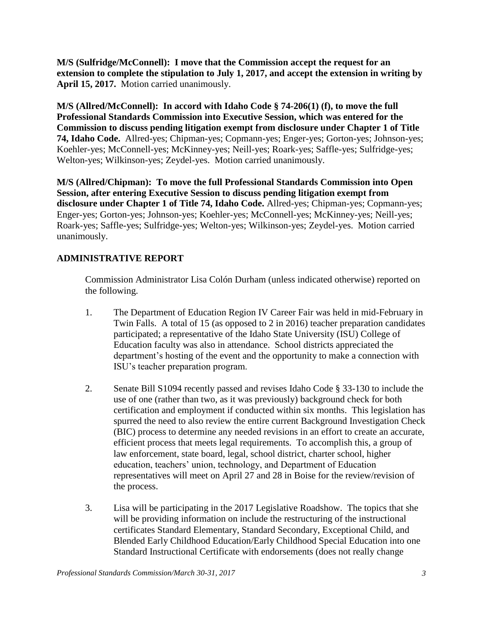**M/S (Sulfridge/McConnell): I move that the Commission accept the request for an extension to complete the stipulation to July 1, 2017, and accept the extension in writing by April 15, 2017.** Motion carried unanimously.

**M/S (Allred/McConnell): In accord with Idaho Code § 74-206(1) (f), to move the full Professional Standards Commission into Executive Session, which was entered for the Commission to discuss pending litigation exempt from disclosure under Chapter 1 of Title 74, Idaho Code.** Allred-yes; Chipman-yes; Copmann-yes; Enger-yes; Gorton-yes; Johnson-yes; Koehler-yes; McConnell-yes; McKinney-yes; Neill-yes; Roark-yes; Saffle-yes; Sulfridge-yes; Welton-yes; Wilkinson-yes; Zeydel-yes. Motion carried unanimously.

**M/S (Allred/Chipman): To move the full Professional Standards Commission into Open Session, after entering Executive Session to discuss pending litigation exempt from disclosure under Chapter 1 of Title 74, Idaho Code.** Allred-yes; Chipman-yes; Copmann-yes; Enger-yes; Gorton-yes; Johnson-yes; Koehler-yes; McConnell-yes; McKinney-yes; Neill-yes; Roark-yes; Saffle-yes; Sulfridge-yes; Welton-yes; Wilkinson-yes; Zeydel-yes. Motion carried unanimously.

# **ADMINISTRATIVE REPORT**

Commission Administrator Lisa Colón Durham (unless indicated otherwise) reported on the following.

- 1. The Department of Education Region IV Career Fair was held in mid-February in Twin Falls. A total of 15 (as opposed to 2 in 2016) teacher preparation candidates participated; a representative of the Idaho State University (ISU) College of Education faculty was also in attendance. School districts appreciated the department's hosting of the event and the opportunity to make a connection with ISU's teacher preparation program.
- 2. Senate Bill S1094 recently passed and revises Idaho Code § 33-130 to include the use of one (rather than two, as it was previously) background check for both certification and employment if conducted within six months. This legislation has spurred the need to also review the entire current Background Investigation Check (BIC) process to determine any needed revisions in an effort to create an accurate, efficient process that meets legal requirements. To accomplish this, a group of law enforcement, state board, legal, school district, charter school, higher education, teachers' union, technology, and Department of Education representatives will meet on April 27 and 28 in Boise for the review/revision of the process.
- 3. Lisa will be participating in the 2017 Legislative Roadshow. The topics that she will be providing information on include the restructuring of the instructional certificates Standard Elementary, Standard Secondary, Exceptional Child, and Blended Early Childhood Education/Early Childhood Special Education into one Standard Instructional Certificate with endorsements (does not really change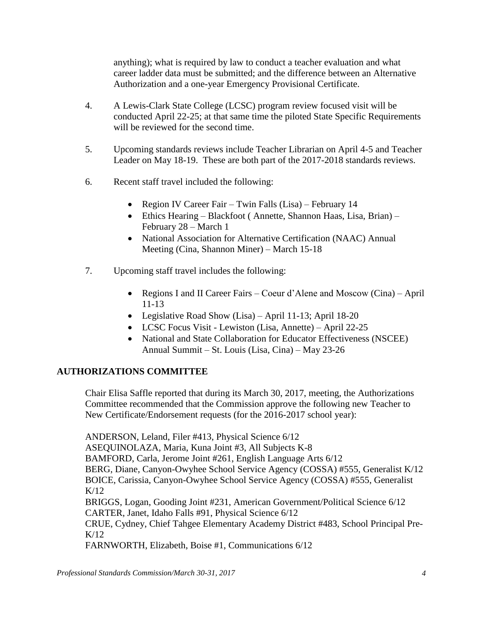anything); what is required by law to conduct a teacher evaluation and what career ladder data must be submitted; and the difference between an Alternative Authorization and a one-year Emergency Provisional Certificate.

- 4. A Lewis-Clark State College (LCSC) program review focused visit will be conducted April 22-25; at that same time the piloted State Specific Requirements will be reviewed for the second time.
- 5. Upcoming standards reviews include Teacher Librarian on April 4-5 and Teacher Leader on May 18-19. These are both part of the 2017-2018 standards reviews.
- 6. Recent staff travel included the following:
	- Region IV Career Fair Twin Falls (Lisa) February 14
	- Ethics Hearing Blackfoot ( Annette, Shannon Haas, Lisa, Brian) February 28 – March 1
	- National Association for Alternative Certification (NAAC) Annual Meeting (Cina, Shannon Miner) – March 15-18
- 7. Upcoming staff travel includes the following:
	- Regions I and II Career Fairs Coeur d'Alene and Moscow (Cina) April 11-13
	- Legislative Road Show (Lisa) April 11-13; April 18-20
	- LCSC Focus Visit Lewiston (Lisa, Annette) April 22-25
	- National and State Collaboration for Educator Effectiveness (NSCEE) Annual Summit – St. Louis (Lisa, Cina) – May 23-26

## **AUTHORIZATIONS COMMITTEE**

Chair Elisa Saffle reported that during its March 30, 2017, meeting, the Authorizations Committee recommended that the Commission approve the following new Teacher to New Certificate/Endorsement requests (for the 2016-2017 school year):

ANDERSON, Leland, Filer #413, Physical Science 6/12 ASEQUINOLAZA, Maria, Kuna Joint #3, All Subjects K-8 BAMFORD, Carla, Jerome Joint #261, English Language Arts 6/12 BERG, Diane, Canyon-Owyhee School Service Agency (COSSA) #555, Generalist K/12 BOICE, Carissia, Canyon-Owyhee School Service Agency (COSSA) #555, Generalist K/12 BRIGGS, Logan, Gooding Joint #231, American Government/Political Science 6/12 CARTER, Janet, Idaho Falls #91, Physical Science 6/12 CRUE, Cydney, Chief Tahgee Elementary Academy District #483, School Principal Pre- $K/12$ 

FARNWORTH, Elizabeth, Boise #1, Communications 6/12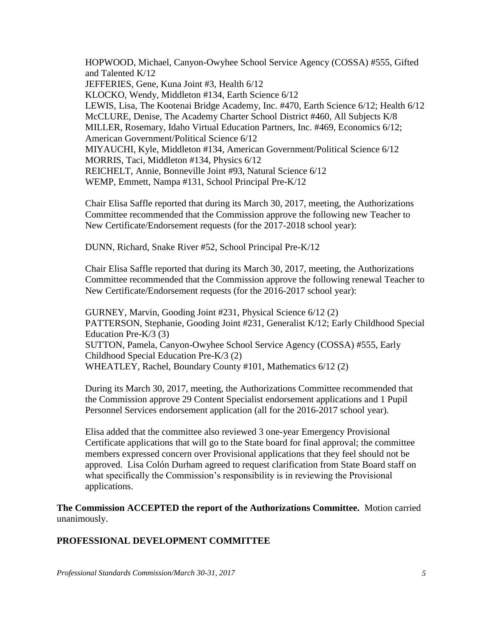HOPWOOD, Michael, Canyon-Owyhee School Service Agency (COSSA) #555, Gifted and Talented K/12 JEFFERIES, Gene, Kuna Joint #3, Health 6/12 KLOCKO, Wendy, Middleton #134, Earth Science 6/12 LEWIS, Lisa, The Kootenai Bridge Academy, Inc. #470, Earth Science 6/12; Health 6/12 McCLURE, Denise, The Academy Charter School District #460, All Subjects K/8 MILLER, Rosemary, Idaho Virtual Education Partners, Inc. #469, Economics 6/12; American Government/Political Science 6/12 MIYAUCHI, Kyle, Middleton #134, American Government/Political Science 6/12 MORRIS, Taci, Middleton #134, Physics 6/12 REICHELT, Annie, Bonneville Joint #93, Natural Science 6/12 WEMP, Emmett, Nampa #131, School Principal Pre-K/12

Chair Elisa Saffle reported that during its March 30, 2017, meeting, the Authorizations Committee recommended that the Commission approve the following new Teacher to New Certificate/Endorsement requests (for the 2017-2018 school year):

DUNN, Richard, Snake River #52, School Principal Pre-K/12

Chair Elisa Saffle reported that during its March 30, 2017, meeting, the Authorizations Committee recommended that the Commission approve the following renewal Teacher to New Certificate/Endorsement requests (for the 2016-2017 school year):

GURNEY, Marvin, Gooding Joint #231, Physical Science 6/12 (2) PATTERSON, Stephanie, Gooding Joint #231, Generalist K/12; Early Childhood Special Education Pre-K/3 (3) SUTTON, Pamela, Canyon-Owyhee School Service Agency (COSSA) #555, Early Childhood Special Education Pre-K/3 (2) WHEATLEY, Rachel, Boundary County #101, Mathematics 6/12 (2)

During its March 30, 2017, meeting, the Authorizations Committee recommended that the Commission approve 29 Content Specialist endorsement applications and 1 Pupil Personnel Services endorsement application (all for the 2016-2017 school year).

Elisa added that the committee also reviewed 3 one-year Emergency Provisional Certificate applications that will go to the State board for final approval; the committee members expressed concern over Provisional applications that they feel should not be approved. Lisa Colón Durham agreed to request clarification from State Board staff on what specifically the Commission's responsibility is in reviewing the Provisional applications.

**The Commission ACCEPTED the report of the Authorizations Committee.** Motion carried unanimously.

### **PROFESSIONAL DEVELOPMENT COMMITTEE**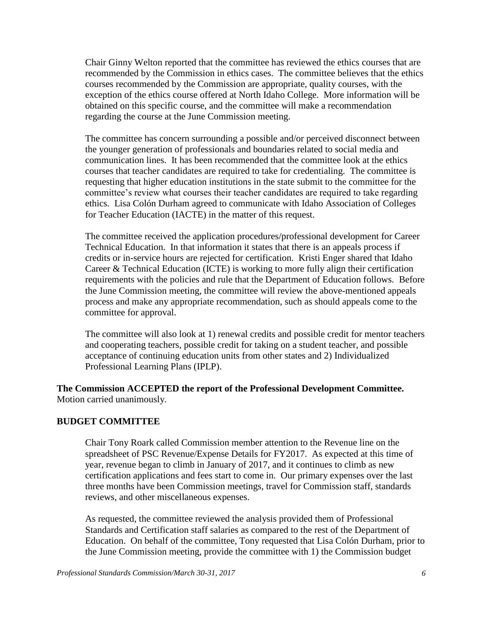Chair Ginny Welton reported that the committee has reviewed the ethics courses that are recommended by the Commission in ethics cases. The committee believes that the ethics courses recommended by the Commission are appropriate, quality courses, with the exception of the ethics course offered at North Idaho College. More information will be obtained on this specific course, and the committee will make a recommendation regarding the course at the June Commission meeting.

The committee has concern surrounding a possible and/or perceived disconnect between the younger generation of professionals and boundaries related to social media and communication lines. It has been recommended that the committee look at the ethics courses that teacher candidates are required to take for credentialing. The committee is requesting that higher education institutions in the state submit to the committee for the committee's review what courses their teacher candidates are required to take regarding ethics. Lisa Colón Durham agreed to communicate with Idaho Association of Colleges for Teacher Education (IACTE) in the matter of this request.

The committee received the application procedures/professional development for Career Technical Education. In that information it states that there is an appeals process if credits or in-service hours are rejected for certification. Kristi Enger shared that Idaho Career & Technical Education (ICTE) is working to more fully align their certification requirements with the policies and rule that the Department of Education follows. Before the June Commission meeting, the committee will review the above-mentioned appeals process and make any appropriate recommendation, such as should appeals come to the committee for approval.

The committee will also look at 1) renewal credits and possible credit for mentor teachers and cooperating teachers, possible credit for taking on a student teacher, and possible acceptance of continuing education units from other states and 2) Individualized Professional Learning Plans (IPLP).

**The Commission ACCEPTED the report of the Professional Development Committee.**  Motion carried unanimously.

### **BUDGET COMMITTEE**

Chair Tony Roark called Commission member attention to the Revenue line on the spreadsheet of PSC Revenue/Expense Details for FY2017. As expected at this time of year, revenue began to climb in January of 2017, and it continues to climb as new certification applications and fees start to come in. Our primary expenses over the last three months have been Commission meetings, travel for Commission staff, standards reviews, and other miscellaneous expenses.

As requested, the committee reviewed the analysis provided them of Professional Standards and Certification staff salaries as compared to the rest of the Department of Education. On behalf of the committee, Tony requested that Lisa Colón Durham, prior to the June Commission meeting, provide the committee with 1) the Commission budget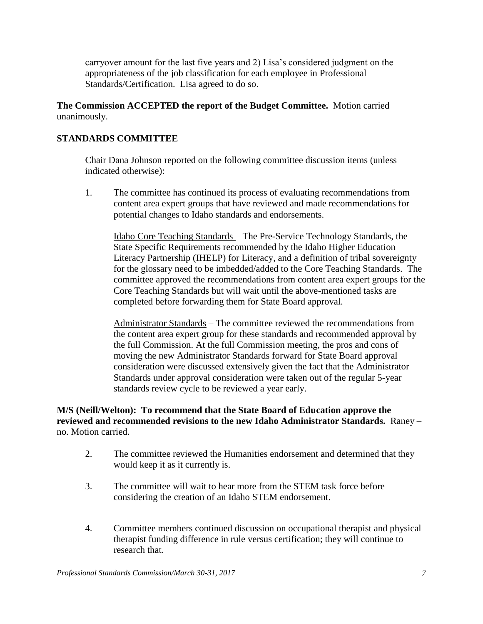carryover amount for the last five years and 2) Lisa's considered judgment on the appropriateness of the job classification for each employee in Professional Standards/Certification. Lisa agreed to do so.

## **The Commission ACCEPTED the report of the Budget Committee.** Motion carried unanimously.

## **STANDARDS COMMITTEE**

Chair Dana Johnson reported on the following committee discussion items (unless indicated otherwise):

1. The committee has continued its process of evaluating recommendations from content area expert groups that have reviewed and made recommendations for potential changes to Idaho standards and endorsements.

Idaho Core Teaching Standards – The Pre-Service Technology Standards, the State Specific Requirements recommended by the Idaho Higher Education Literacy Partnership (IHELP) for Literacy, and a definition of tribal sovereignty for the glossary need to be imbedded/added to the Core Teaching Standards. The committee approved the recommendations from content area expert groups for the Core Teaching Standards but will wait until the above-mentioned tasks are completed before forwarding them for State Board approval.

Administrator Standards – The committee reviewed the recommendations from the content area expert group for these standards and recommended approval by the full Commission. At the full Commission meeting, the pros and cons of moving the new Administrator Standards forward for State Board approval consideration were discussed extensively given the fact that the Administrator Standards under approval consideration were taken out of the regular 5-year standards review cycle to be reviewed a year early.

**M/S (Neill/Welton): To recommend that the State Board of Education approve the reviewed and recommended revisions to the new Idaho Administrator Standards.** Raney – no. Motion carried.

- 2. The committee reviewed the Humanities endorsement and determined that they would keep it as it currently is.
- 3. The committee will wait to hear more from the STEM task force before considering the creation of an Idaho STEM endorsement.
- 4. Committee members continued discussion on occupational therapist and physical therapist funding difference in rule versus certification; they will continue to research that.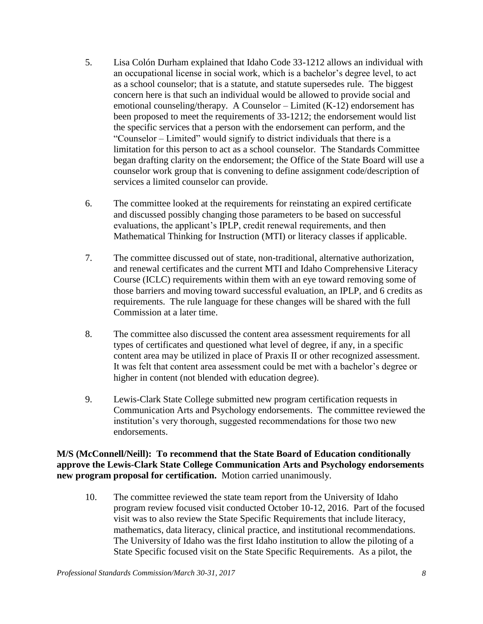- 5. Lisa Colón Durham explained that Idaho Code 33-1212 allows an individual with an occupational license in social work, which is a bachelor's degree level, to act as a school counselor; that is a statute, and statute supersedes rule. The biggest concern here is that such an individual would be allowed to provide social and emotional counseling/therapy. A Counselor – Limited (K-12) endorsement has been proposed to meet the requirements of 33-1212; the endorsement would list the specific services that a person with the endorsement can perform, and the "Counselor – Limited" would signify to district individuals that there is a limitation for this person to act as a school counselor. The Standards Committee began drafting clarity on the endorsement; the Office of the State Board will use a counselor work group that is convening to define assignment code/description of services a limited counselor can provide.
- 6. The committee looked at the requirements for reinstating an expired certificate and discussed possibly changing those parameters to be based on successful evaluations, the applicant's IPLP, credit renewal requirements, and then Mathematical Thinking for Instruction (MTI) or literacy classes if applicable.
- 7. The committee discussed out of state, non-traditional, alternative authorization, and renewal certificates and the current MTI and Idaho Comprehensive Literacy Course (ICLC) requirements within them with an eye toward removing some of those barriers and moving toward successful evaluation, an IPLP, and 6 credits as requirements. The rule language for these changes will be shared with the full Commission at a later time.
- 8. The committee also discussed the content area assessment requirements for all types of certificates and questioned what level of degree, if any, in a specific content area may be utilized in place of Praxis II or other recognized assessment. It was felt that content area assessment could be met with a bachelor's degree or higher in content (not blended with education degree).
- 9. Lewis-Clark State College submitted new program certification requests in Communication Arts and Psychology endorsements. The committee reviewed the institution's very thorough, suggested recommendations for those two new endorsements.

## **M/S (McConnell/Neill): To recommend that the State Board of Education conditionally approve the Lewis-Clark State College Communication Arts and Psychology endorsements new program proposal for certification.** Motion carried unanimously.

10. The committee reviewed the state team report from the University of Idaho program review focused visit conducted October 10-12, 2016. Part of the focused visit was to also review the State Specific Requirements that include literacy, mathematics, data literacy, clinical practice, and institutional recommendations. The University of Idaho was the first Idaho institution to allow the piloting of a State Specific focused visit on the State Specific Requirements. As a pilot, the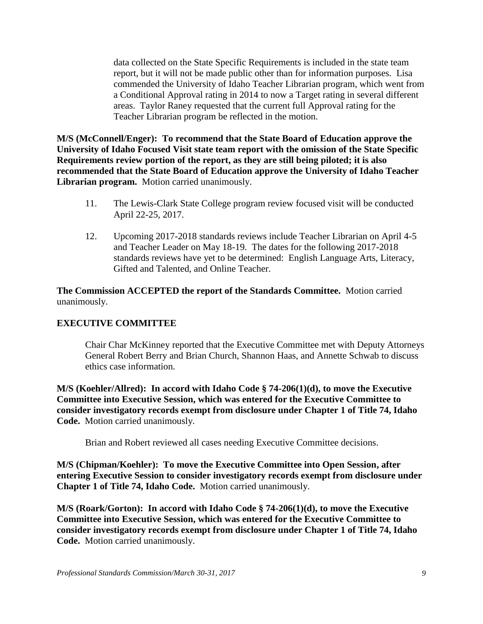data collected on the State Specific Requirements is included in the state team report, but it will not be made public other than for information purposes. Lisa commended the University of Idaho Teacher Librarian program, which went from a Conditional Approval rating in 2014 to now a Target rating in several different areas. Taylor Raney requested that the current full Approval rating for the Teacher Librarian program be reflected in the motion.

**M/S (McConnell/Enger): To recommend that the State Board of Education approve the University of Idaho Focused Visit state team report with the omission of the State Specific Requirements review portion of the report, as they are still being piloted; it is also recommended that the State Board of Education approve the University of Idaho Teacher Librarian program.** Motion carried unanimously.

- 11. The Lewis-Clark State College program review focused visit will be conducted April 22-25, 2017.
- 12. Upcoming 2017-2018 standards reviews include Teacher Librarian on April 4-5 and Teacher Leader on May 18-19. The dates for the following 2017-2018 standards reviews have yet to be determined: English Language Arts, Literacy, Gifted and Talented, and Online Teacher.

**The Commission ACCEPTED the report of the Standards Committee.** Motion carried unanimously.

### **EXECUTIVE COMMITTEE**

Chair Char McKinney reported that the Executive Committee met with Deputy Attorneys General Robert Berry and Brian Church, Shannon Haas, and Annette Schwab to discuss ethics case information.

**M/S (Koehler/Allred): In accord with Idaho Code § 74-206(1)(d), to move the Executive Committee into Executive Session, which was entered for the Executive Committee to consider investigatory records exempt from disclosure under Chapter 1 of Title 74, Idaho Code.** Motion carried unanimously.

Brian and Robert reviewed all cases needing Executive Committee decisions.

**M/S (Chipman/Koehler): To move the Executive Committee into Open Session, after entering Executive Session to consider investigatory records exempt from disclosure under Chapter 1 of Title 74, Idaho Code.** Motion carried unanimously.

**M/S (Roark/Gorton): In accord with Idaho Code § 74-206(1)(d), to move the Executive Committee into Executive Session, which was entered for the Executive Committee to consider investigatory records exempt from disclosure under Chapter 1 of Title 74, Idaho Code.** Motion carried unanimously.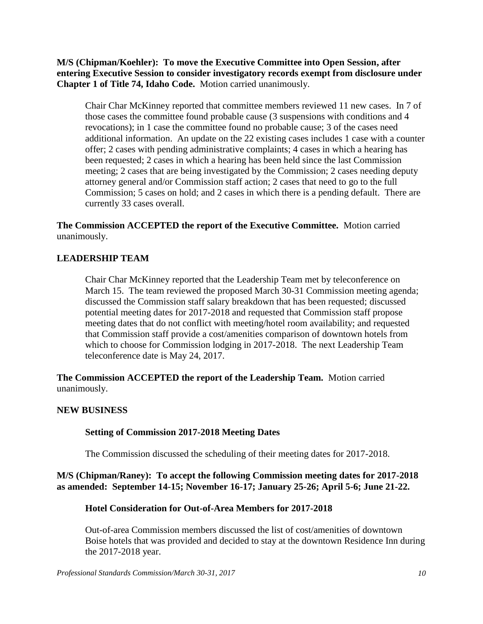**M/S (Chipman/Koehler): To move the Executive Committee into Open Session, after entering Executive Session to consider investigatory records exempt from disclosure under Chapter 1 of Title 74, Idaho Code.** Motion carried unanimously.

Chair Char McKinney reported that committee members reviewed 11 new cases. In 7 of those cases the committee found probable cause (3 suspensions with conditions and 4 revocations); in 1 case the committee found no probable cause; 3 of the cases need additional information. An update on the 22 existing cases includes 1 case with a counter offer; 2 cases with pending administrative complaints; 4 cases in which a hearing has been requested; 2 cases in which a hearing has been held since the last Commission meeting; 2 cases that are being investigated by the Commission; 2 cases needing deputy attorney general and/or Commission staff action; 2 cases that need to go to the full Commission; 5 cases on hold; and 2 cases in which there is a pending default. There are currently 33 cases overall.

**The Commission ACCEPTED the report of the Executive Committee.** Motion carried unanimously.

## **LEADERSHIP TEAM**

Chair Char McKinney reported that the Leadership Team met by teleconference on March 15. The team reviewed the proposed March 30-31 Commission meeting agenda; discussed the Commission staff salary breakdown that has been requested; discussed potential meeting dates for 2017-2018 and requested that Commission staff propose meeting dates that do not conflict with meeting/hotel room availability; and requested that Commission staff provide a cost/amenities comparison of downtown hotels from which to choose for Commission lodging in 2017-2018. The next Leadership Team teleconference date is May 24, 2017.

**The Commission ACCEPTED the report of the Leadership Team.** Motion carried unanimously.

#### **NEW BUSINESS**

#### **Setting of Commission 2017-2018 Meeting Dates**

The Commission discussed the scheduling of their meeting dates for 2017-2018.

## **M/S (Chipman/Raney): To accept the following Commission meeting dates for 2017-2018 as amended: September 14-15; November 16-17; January 25-26; April 5-6; June 21-22.**

#### **Hotel Consideration for Out-of-Area Members for 2017-2018**

Out-of-area Commission members discussed the list of cost/amenities of downtown Boise hotels that was provided and decided to stay at the downtown Residence Inn during the 2017-2018 year.